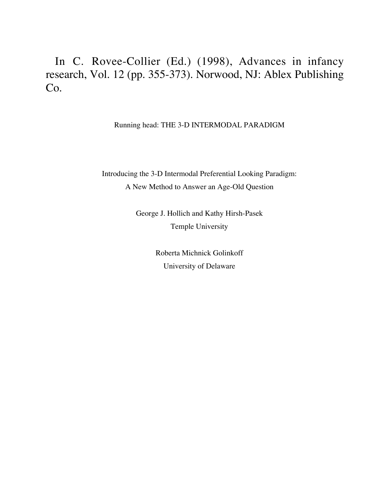In C. Rovee-Collier (Ed.) (1998), Advances in infancy research, Vol. 12 (pp. 355-373). Norwood, NJ: Ablex Publishing Co.

Running head: THE 3-D INTERMODAL PARADIGM

Introducing the 3-D Intermodal Preferential Looking Paradigm: A New Method to Answer an Age-Old Question

> George J. Hollich and Kathy Hirsh-Pasek Temple University

> > Roberta Michnick Golinkoff University of Delaware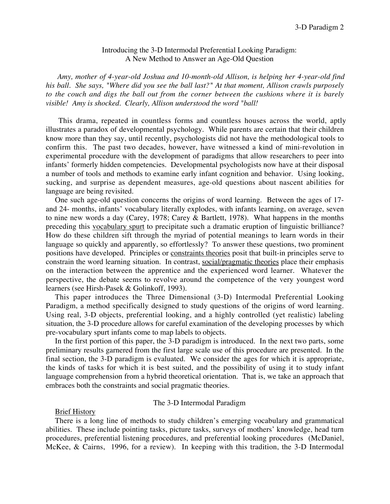# Introducing the 3-D Intermodal Preferential Looking Paradigm: A New Method to Answer an Age-Old Question

*Amy, mother of 4-year-old Joshua and 10-month-old Allison, is helping her 4-year-old find his ball. She says, "Where did you see the ball last?" At that moment, Allison crawls purposely to the couch and digs the ball out from the corner between the cushions where it is barely visible! Amy is shocked. Clearly, Allison understood the word "ball!*

This drama, repeated in countless forms and countless houses across the world, aptly illustrates a paradox of developmental psychology. While parents are certain that their children know more than they say, until recently, psychologists did not have the methodological tools to confirm this. The past two decades, however, have witnessed a kind of mini-revolution in experimental procedure with the development of paradigms that allow researchers to peer into infants' formerly hidden competencies. Developmental psychologists now have at their disposal a number of tools and methods to examine early infant cognition and behavior. Using looking, sucking, and surprise as dependent measures, age-old questions about nascent abilities for language are being revisited.

One such age-old question concerns the origins of word learning. Between the ages of 17 and 24- months, infants' vocabulary literally explodes, with infants learning, on average, seven to nine new words a day (Carey, 1978; Carey & Bartlett, 1978). What happens in the months preceding this vocabulary spurt to precipitate such a dramatic eruption of linguistic brilliance? How do these children sift through the myriad of potential meanings to learn words in their language so quickly and apparently, so effortlessly? To answer these questions, two prominent positions have developed. Principles or constraints theories posit that built-in principles serve to constrain the word learning situation. In contrast, social/pragmatic theories place their emphasis on the interaction between the apprentice and the experienced word learner. Whatever the perspective, the debate seems to revolve around the competence of the very youngest word learners (see Hirsh-Pasek & Golinkoff, 1993).

This paper introduces the Three Dimensional (3-D) Intermodal Preferential Looking Paradigm, a method specifically designed to study questions of the origins of word learning. Using real, 3-D objects, preferential looking, and a highly controlled (yet realistic) labeling situation, the 3-D procedure allows for careful examination of the developing processes by which pre-vocabulary spurt infants come to map labels to objects.

In the first portion of this paper, the 3-D paradigm is introduced. In the next two parts, some preliminary results garnered from the first large scale use of this procedure are presented. In the final section, the 3-D paradigm is evaluated. We consider the ages for which it is appropriate, the kinds of tasks for which it is best suited, and the possibility of using it to study infant language comprehension from a hybrid theoretical orientation. That is, we take an approach that embraces both the constraints and social pragmatic theories.

### The 3-D Intermodal Paradigm

#### Brief History

There is a long line of methods to study children's emerging vocabulary and grammatical abilities. These include pointing tasks, picture tasks, surveys of mothers' knowledge, head turn procedures, preferential listening procedures, and preferential looking procedures (McDaniel, McKee, & Cairns, 1996, for a review). In keeping with this tradition, the 3-D Intermodal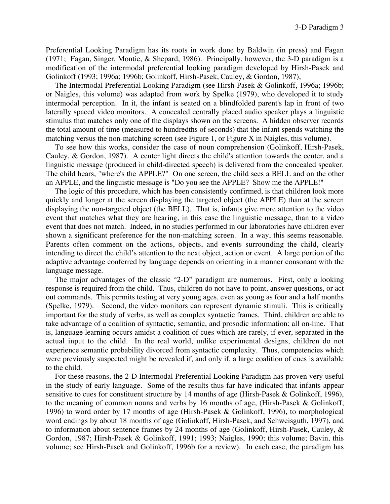Preferential Looking Paradigm has its roots in work done by Baldwin (in press) and Fagan (1971; Fagan, Singer, Montie, & Shepard, 1986). Principally, however, the 3-D paradigm is a modification of the intermodal preferential looking paradigm developed by Hirsh-Pasek and Golinkoff (1993; 1996a; 1996b; Golinkoff, Hirsh-Pasek, Cauley, & Gordon, 1987),

The Intermodal Preferential Looking Paradigm (see Hirsh-Pasek & Golinkoff, 1996a; 1996b; or Naigles, this volume) was adapted from work by Spelke (1979), who developed it to study intermodal perception. In it, the infant is seated on a blindfolded parent's lap in front of two laterally spaced video monitors. A concealed centrally placed audio speaker plays a linguistic stimulus that matches only one of the displays shown on the screens. A hidden observer records the total amount of time (measured to hundredths of seconds) that the infant spends watching the matching versus the non-matching screen (see Figure 1, or Figure X in Naigles, this volume).

To see how this works, consider the case of noun comprehension (Golinkoff, Hirsh-Pasek, Cauley, & Gordon, 1987). A center light directs the child's attention towards the center, and a linguistic message (produced in child-directed speech) is delivered from the concealed speaker. The child hears, "where's the APPLE?" On one screen, the child sees a BELL and on the other an APPLE, and the linguistic message is "Do you see the APPLE? Show me the APPLE!"

The logic of this procedure, which has been consistently confirmed, is that children look more quickly and longer at the screen displaying the targeted object (the APPLE) than at the screen displaying the non-targeted object (the BELL). That is, infants give more attention to the video event that matches what they are hearing, in this case the linguistic message, than to a video event that does not match. Indeed, in no studies performed in our laboratories have children ever shown a significant preference for the non-matching screen. In a way, this seems reasonable. Parents often comment on the actions, objects, and events surrounding the child, clearly intending to direct the child's attention to the next object, action or event. A large portion of the adaptive advantage conferred by language depends on orienting in a manner consonant with the language message.

The major advantages of the classic "2-D" paradigm are numerous. First, only a looking response is required from the child. Thus, children do not have to point, answer questions, or act out commands. This permits testing at very young ages, even as young as four and a half months (Spelke, 1979). Second, the video monitors can represent dynamic stimuli. This is critically important for the study of verbs, as well as complex syntactic frames. Third, children are able to take advantage of a coalition of syntactic, semantic, and prosodic information: all on-line. That is, language learning occurs amidst a coalition of cues which are rarely, if ever, separated in the actual input to the child. In the real world, unlike experimental designs, children do not experience semantic probability divorced from syntactic complexity. Thus, competencies which were previously suspected might be revealed if, and only if, a large coalition of cues is available to the child.

For these reasons, the 2-D Intermodal Preferential Looking Paradigm has proven very useful in the study of early language. Some of the results thus far have indicated that infants appear sensitive to cues for constituent structure by 14 months of age (Hirsh-Pasek & Golinkoff, 1996), to the meaning of common nouns and verbs by 16 months of age, (Hirsh-Pasek & Golinkoff, 1996) to word order by 17 months of age (Hirsh-Pasek & Golinkoff, 1996), to morphological word endings by about 18 months of age (Golinkoff, Hirsh-Pasek, and Schweisguth, 1997), and to information about sentence frames by 24 months of age (Golinkoff, Hirsh-Pasek, Cauley, & Gordon, 1987; Hirsh-Pasek & Golinkoff, 1991; 1993; Naigles, 1990; this volume; Bavin, this volume; see Hirsh-Pasek and Golinkoff, 1996b for a review). In each case, the paradigm has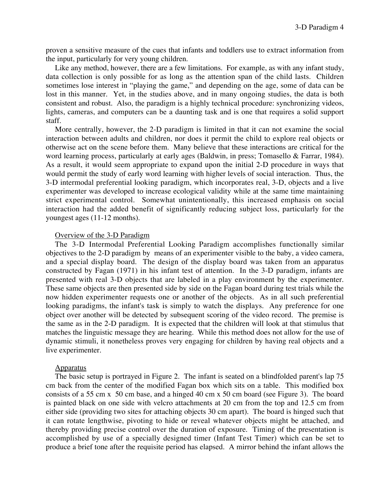proven a sensitive measure of the cues that infants and toddlers use to extract information from the input, particularly for very young children.

Like any method, however, there are a few limitations. For example, as with any infant study, data collection is only possible for as long as the attention span of the child lasts. Children sometimes lose interest in "playing the game," and depending on the age, some of data can be lost in this manner. Yet, in the studies above, and in many ongoing studies, the data is both consistent and robust. Also, the paradigm is a highly technical procedure: synchronizing videos, lights, cameras, and computers can be a daunting task and is one that requires a solid support staff.

More centrally, however, the 2-D paradigm is limited in that it can not examine the social interaction between adults and children, nor does it permit the child to explore real objects or otherwise act on the scene before them. Many believe that these interactions are critical for the word learning process, particularly at early ages (Baldwin, in press; Tomasello & Farrar, 1984). As a result, it would seem appropriate to expand upon the initial 2-D procedure in ways that would permit the study of early word learning with higher levels of social interaction. Thus, the 3-D intermodal preferential looking paradigm, which incorporates real, 3-D, objects and a live experimenter was developed to increase ecological validity while at the same time maintaining strict experimental control. Somewhat unintentionally, this increased emphasis on social interaction had the added benefit of significantly reducing subject loss, particularly for the youngest ages (11-12 months).

### Overview of the 3-D Paradigm

The 3-D Intermodal Preferential Looking Paradigm accomplishes functionally similar objectives to the 2-D paradigm by means of an experimenter visible to the baby, a video camera, and a special display board. The design of the display board was taken from an apparatus constructed by Fagan (1971) in his infant test of attention. In the 3-D paradigm, infants are presented with real 3-D objects that are labeled in a play environment by the experimenter. These same objects are then presented side by side on the Fagan board during test trials while the now hidden experimenter requests one or another of the objects. As in all such preferential looking paradigms, the infant's task is simply to watch the displays. Any preference for one object over another will be detected by subsequent scoring of the video record. The premise is the same as in the 2-D paradigm. It is expected that the children will look at that stimulus that matches the linguistic message they are hearing. While this method does not allow for the use of dynamic stimuli, it nonetheless proves very engaging for children by having real objects and a live experimenter.

#### **Apparatus**

The basic setup is portrayed in Figure 2. The infant is seated on a blindfolded parent's lap 75 cm back from the center of the modified Fagan box which sits on a table. This modified box consists of a 55 cm x 50 cm base, and a hinged 40 cm x 50 cm board (see Figure 3). The board is painted black on one side with velcro attachments at 20 cm from the top and 12.5 cm from either side (providing two sites for attaching objects 30 cm apart). The board is hinged such that it can rotate lengthwise, pivoting to hide or reveal whatever objects might be attached, and thereby providing precise control over the duration of exposure. Timing of the presentation is accomplished by use of a specially designed timer (Infant Test Timer) which can be set to produce a brief tone after the requisite period has elapsed. A mirror behind the infant allows the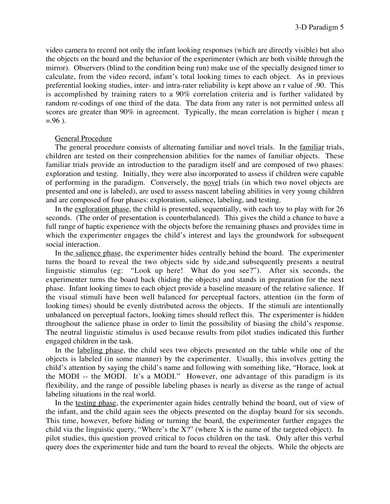video camera to record not only the infant looking responses (which are directly visible) but also the objects on the board and the behavior of the experimenter (which are both visible through the mirror). Observers (blind to the condition being run) make use of the specially designed timer to calculate, from the video record, infant's total looking times to each object. As in previous preferential looking studies, inter- and intra-rater reliability is kept above an r value of .90. This is accomplished by training raters to a 90% correlation criteria and is further validated by random re-codings of one third of the data. The data from any rater is not permitted unless all scores are greater than 90% in agreement. Typically, the mean correlation is higher ( mean r  $= .96$ ).

### General Procedure

The general procedure consists of alternating familiar and novel trials. In the familiar trials, children are tested on their comprehension abilities for the names of familiar objects. These familiar trials provide an introduction to the paradigm itself and are composed of two phases: exploration and testing. Initially, they were also incorporated to assess if children were capable of performing in the paradigm. Conversely, the novel trials (in which two novel objects are presented and one is labeled), are used to assess nascent labeling abilities in very young children and are composed of four phases: exploration, salience, labeling, and testing.

In the exploration phase, the child is presented, sequentially, with each toy to play with for 26 seconds. (The order of presentation is counterbalanced). This gives the child a chance to have a full range of haptic experience with the objects before the remaining phases and provides time in which the experimenter engages the child's interest and lays the groundwork for subsequent social interaction.

In the salience phase, the experimenter hides centrally behind the board. The experimenter turns the board to reveal the two objects side by side,and subsequently presents a neutral linguistic stimulus (eg: "Look up here! What do you see?"). After six seconds, the experimenter turns the board back (hiding the objects) and stands in preparation for the next phase. Infant looking times to each object provide a baseline measure of the relative salience. If the visual stimuli have been well balanced for perceptual factors, attention (in the form of looking times) should be evenly distributed across the objects. If the stimuli are intentionally unbalanced on perceptual factors, looking times should reflect this. The experimenter is hidden throughout the salience phase in order to limit the possibility of biasing the child's response. The neutral linguistic stimulus is used because results from pilot studies indicated this further engaged children in the task.

In the labeling phase, the child sees two objects presented on the table while one of the objects is labeled (in some manner) by the experimenter. Usually, this involves getting the child's attention by saying the child's name and following with something like, "Horace, look at the MODI -- the MODI. It's a MODI." However, one advantage of this paradigm is its flexibility, and the range of possible labeling phases is nearly as diverse as the range of actual labeling situations in the real world.

In the testing phase, the experimenter again hides centrally behind the board, out of view of the infant, and the child again sees the objects presented on the display board for six seconds. This time, however, before hiding or turning the board, the experimenter further engages the child via the linguistic query, "Where's the  $X$ ?" (where X is the name of the targeted object). In pilot studies, this question proved critical to focus children on the task. Only after this verbal query does the experimenter hide and turn the board to reveal the objects. While the objects are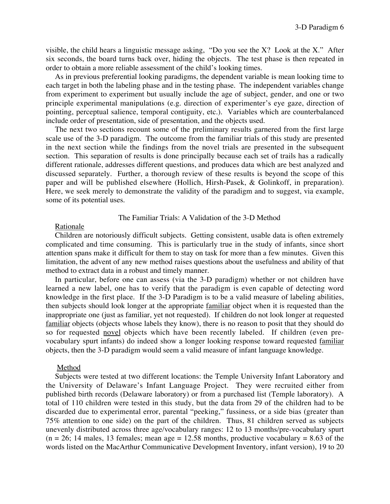visible, the child hears a linguistic message asking, "Do you see the X? Look at the X." After six seconds, the board turns back over, hiding the objects. The test phase is then repeated in order to obtain a more reliable assessment of the child's looking times.

As in previous preferential looking paradigms, the dependent variable is mean looking time to each target in both the labeling phase and in the testing phase. The independent variables change from experiment to experiment but usually include the age of subject, gender, and one or two principle experimental manipulations (e.g. direction of experimenter's eye gaze, direction of pointing, perceptual salience, temporal contiguity, etc.). Variables which are counterbalanced include order of presentation, side of presentation, and the objects used.

The next two sections recount some of the preliminary results garnered from the first large scale use of the 3-D paradigm. The outcome from the familiar trials of this study are presented in the next section while the findings from the novel trials are presented in the subsequent section. This separation of results is done principally because each set of trails has a radically different rationale, addresses different questions, and produces data which are best analyzed and discussed separately. Further, a thorough review of these results is beyond the scope of this paper and will be published elsewhere (Hollich, Hirsh-Pasek, & Golinkoff, in preparation). Here, we seek merely to demonstrate the validity of the paradigm and to suggest, via example, some of its potential uses.

# The Familiar Trials: A Validation of the 3-D Method

#### Rationale

Children are notoriously difficult subjects. Getting consistent, usable data is often extremely complicated and time consuming. This is particularly true in the study of infants, since short attention spans make it difficult for them to stay on task for more than a few minutes. Given this limitation, the advent of any new method raises questions about the usefulness and ability of that method to extract data in a robust and timely manner.

In particular, before one can assess (via the 3-D paradigm) whether or not children have learned a new label, one has to verify that the paradigm is even capable of detecting word knowledge in the first place. If the 3-D Paradigm is to be a valid measure of labeling abilities, then subjects should look longer at the appropriate familiar object when it is requested than the inappropriate one (just as familiar, yet not requested). If children do not look longer at requested familiar objects (objects whose labels they know), there is no reason to posit that they should do so for requested novel objects which have been recently labeled. If children (even prevocabulary spurt infants) do indeed show a longer looking response toward requested familiar objects, then the 3-D paradigm would seem a valid measure of infant language knowledge.

#### Method

Subjects were tested at two different locations: the Temple University Infant Laboratory and the University of Delaware's Infant Language Project. They were recruited either from published birth records (Delaware laboratory) or from a purchased list (Temple laboratory). A total of 110 children were tested in this study, but the data from 29 of the children had to be discarded due to experimental error, parental "peeking," fussiness, or a side bias (greater than 75% attention to one side) on the part of the children. Thus, 81 children served as subjects unevenly distributed across three age/vocabulary ranges: 12 to 13 months/pre-vocabulary spurt  $(n = 26; 14 \text{ males}, 13 \text{ females}; \text{mean age} = 12.58 \text{ months}, \text{productive vocabulary} = 8.63 \text{ of the}$ words listed on the MacArthur Communicative Development Inventory, infant version), 19 to 20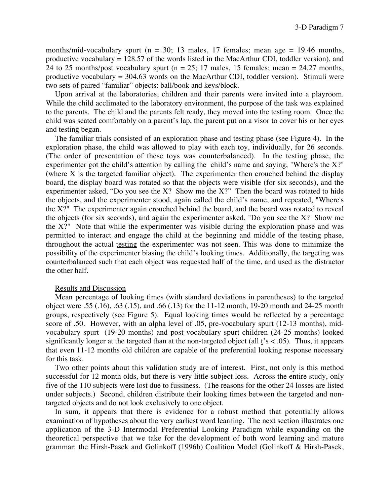months/mid-vocabulary spurt ( $n = 30$ ; 13 males, 17 females; mean age = 19.46 months, productive vocabulary = 128.57 of the words listed in the MacArthur CDI, toddler version), and 24 to 25 months/post vocabulary spurt ( $n = 25$ ; 17 males, 15 females; mean = 24.27 months, productive vocabulary = 304.63 words on the MacArthur CDI, toddler version). Stimuli were two sets of paired "familiar" objects: ball/book and keys/block.

Upon arrival at the laboratories, children and their parents were invited into a playroom. While the child acclimated to the laboratory environment, the purpose of the task was explained to the parents. The child and the parents felt ready, they moved into the testing room. Once the child was seated comfortably on a parent's lap, the parent put on a visor to cover his or her eyes and testing began.

The familiar trials consisted of an exploration phase and testing phase (see Figure 4). In the exploration phase, the child was allowed to play with each toy, individually, for 26 seconds. (The order of presentation of these toys was counterbalanced). In the testing phase, the experimenter got the child's attention by calling the child's name and saying, "Where's the X?" (where X is the targeted familiar object). The experimenter then crouched behind the display board, the display board was rotated so that the objects were visible (for six seconds), and the experimenter asked, "Do you see the  $X$ ? Show me the  $X$ ?" Then the board was rotated to hide the objects, and the experimenter stood, again called the child's name, and repeated, "Where's the X?" The experimenter again crouched behind the board, and the board was rotated to reveal the objects (for six seconds), and again the experimenter asked, "Do you see the X? Show me the  $X$ ?" Note that while the experimenter was visible during the exploration phase and was permitted to interact and engage the child at the beginning and middle of the testing phase, throughout the actual testing the experimenter was not seen. This was done to minimize the possibility of the experimenter biasing the child's looking times. Additionally, the targeting was counterbalanced such that each object was requested half of the time, and used as the distractor the other half.

## Results and Discussion

Mean percentage of looking times (with standard deviations in parentheses) to the targeted object were .55 (.16), .63 (.15), and .66 (.13) for the 11-12 month, 19-20 month and 24-25 month groups, respectively (see Figure 5). Equal looking times would be reflected by a percentage score of .50. However, with an alpha level of .05, pre-vocabulary spurt (12-13 months), midvocabulary spurt (19-20 months) and post vocabulary spurt children (24-25 months) looked significantly longer at the targeted than at the non-targeted object (all  $t$ 's < .05). Thus, it appears that even 11-12 months old children are capable of the preferential looking response necessary for this task.

Two other points about this validation study are of interest. First, not only is this method successful for 12 month olds, but there is very little subject loss. Across the entire study, only five of the 110 subjects were lost due to fussiness. (The reasons for the other 24 losses are listed under subjects.) Second, children distribute their looking times between the targeted and nontargeted objects and do not look exclusively to one object.

In sum, it appears that there is evidence for a robust method that potentially allows examination of hypotheses about the very earliest word learning. The next section illustrates one application of the 3-D Intermodal Preferential Looking Paradigm while expanding on the theoretical perspective that we take for the development of both word learning and mature grammar: the Hirsh-Pasek and Golinkoff (1996b) Coalition Model (Golinkoff & Hirsh-Pasek,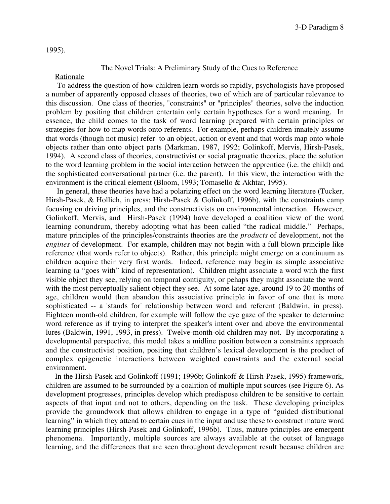1995).

# The Novel Trials: A Preliminary Study of the Cues to Reference

## Rationale

To address the question of how children learn words so rapidly, psychologists have proposed a number of apparently opposed classes of theories, two of which are of particular relevance to this discussion. One class of theories, "constraints" or "principles" theories, solve the induction problem by positing that children entertain only certain hypotheses for a word meaning. In essence, the child comes to the task of word learning prepared with certain principles or strategies for how to map words onto referents. For example, perhaps children innately assume that words (though not music) refer to an object, action or event and that words map onto whole objects rather than onto object parts (Markman, 1987, 1992; Golinkoff, Mervis, Hirsh-Pasek, 1994). A second class of theories, constructivist or social pragmatic theories, place the solution to the word learning problem in the social interaction between the apprentice (i.e. the child) and the sophisticated conversational partner (i.e. the parent). In this view, the interaction with the environment is the critical element (Bloom, 1993; Tomasello & Akhtar, 1995).

In general, these theories have had a polarizing effect on the word learning literature (Tucker, Hirsh-Pasek, & Hollich, in press; Hirsh-Pasek & Golinkoff, 1996b), with the constraints camp focusing on driving principles, and the constructivists on environmental interaction. However, Golinkoff, Mervis, and Hirsh-Pasek (1994) have developed a coalition view of the word learning conundrum, thereby adopting what has been called "the radical middle." Perhaps, mature principles of the principles/constraints theories are the *products* of development, not the *engines* of development. For example, children may not begin with a full blown principle like reference (that words refer to objects). Rather, this principle might emerge on a continuum as children acquire their very first words. Indeed, reference may begin as simple associative learning (a "goes with" kind of representation). Children might associate a word with the first visible object they see, relying on temporal contiguity, or pehaps they might associate the word with the most perceptually salient object they see. At some later age, around 19 to 20 months of age, children would then abandon this associative principle in favor of one that is more sophisticated -- a 'stands for' relationship between word and referent (Baldwin, in press). Eighteen month-old children, for example will follow the eye gaze of the speaker to determine word reference as if trying to interpret the speaker's intent over and above the environmental lures (Baldwin, 1991, 1993, in press). Twelve-month-old children may not. By incorporating a developmental perspective, this model takes a midline position between a constraints approach and the constructivist position, positing that children's lexical development is the product of complex epigenetic interactions between weighted constraints and the external social environment.

In the Hirsh-Pasek and Golinkoff (1991; 1996b; Golinkoff & Hirsh-Pasek, 1995) framework, children are assumed to be surrounded by a coalition of multiple input sources (see Figure 6). As development progresses, principles develop which predispose children to be sensitive to certain aspects of that input and not to others, depending on the task. These developing principles provide the groundwork that allows children to engage in a type of "guided distributional learning" in which they attend to certain cues in the input and use these to construct mature word learning principles (Hirsh-Pasek and Golinkoff, 1996b). Thus, mature principles are emergent phenomena. Importantly, multiple sources are always available at the outset of language learning, and the differences that are seen throughout development result because children are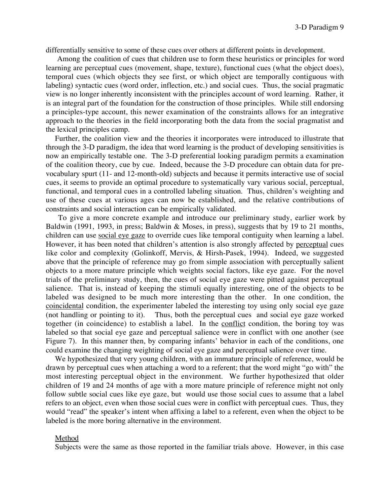differentially sensitive to some of these cues over others at different points in development.

Among the coalition of cues that children use to form these heuristics or principles for word learning are perceptual cues (movement, shape, texture), functional cues (what the object does), temporal cues (which objects they see first, or which object are temporally contiguous with labeling) syntactic cues (word order, inflection, etc.) and social cues. Thus, the social pragmatic view is no longer inherently inconsistent with the principles account of word learning. Rather, it is an integral part of the foundation for the construction of those principles. While still endorsing a principles-type account, this newer examination of the constraints allows for an integrative approach to the theories in the field incorporating both the data from the social pragmatist and the lexical principles camp.

Further, the coalition view and the theories it incorporates were introduced to illustrate that through the 3-D paradigm, the idea that word learning is the product of developing sensitivities is now an empirically testable one. The 3-D preferential looking paradigm permits a examination of the coalition theory, cue by cue. Indeed, because the 3-D procedure can obtain data for prevocabulary spurt (11- and 12-month-old) subjects and because it permits interactive use of social cues, it seems to provide an optimal procedure to systematically vary various social, perceptual, functional, and temporal cues in a controlled labeling situation. Thus, children's weighting and use of these cues at various ages can now be established, and the relative contributions of constraints and social interaction can be empirically validated.

To give a more concrete example and introduce our preliminary study, earlier work by Baldwin (1991, 1993, in press; Baldwin & Moses, in press), suggests that by 19 to 21 months, children can use social eye gaze to override cues like temporal contiguity when learning a label. However, it has been noted that children's attention is also strongly affected by perceptual cues like color and complexity (Golinkoff, Mervis, & Hirsh-Pasek, 1994). Indeed, we suggested above that the principle of reference may go from simple association with perceptually salient objects to a more mature principle which weights social factors, like eye gaze. For the novel trials of the preliminary study, then, the cues of social eye gaze were pitted against perceptual salience. That is, instead of keeping the stimuli equally interesting, one of the objects to be labeled was designed to be much more interesting than the other. In one condition, the coincidental condition, the experimenter labeled the interesting toy using only social eye gaze (not handling or pointing to it). Thus, both the perceptual cues and social eye gaze worked together (in coincidence) to establish a label. In the conflict condition, the boring toy was labeled so that social eye gaze and perceptual salience were in conflict with one another (see Figure 7). In this manner then, by comparing infants' behavior in each of the conditions, one could examine the changing weighting of social eye gaze and perceptual salience over time.

We hypothesized that very young children, with an immature principle of reference, would be drawn by perceptual cues when attaching a word to a referent; that the word might "go with" the most interesting perceptual object in the environment. We further hypothesized that older children of 19 and 24 months of age with a more mature principle of reference might not only follow subtle social cues like eye gaze, but would use those social cues to assume that a label refers to an object, even when those social cues were in conflict with perceptual cues. Thus, they would "read" the speaker's intent when affixing a label to a referent, even when the object to be labeled is the more boring alternative in the environment.

#### Method

Subjects were the same as those reported in the familiar trials above. However, in this case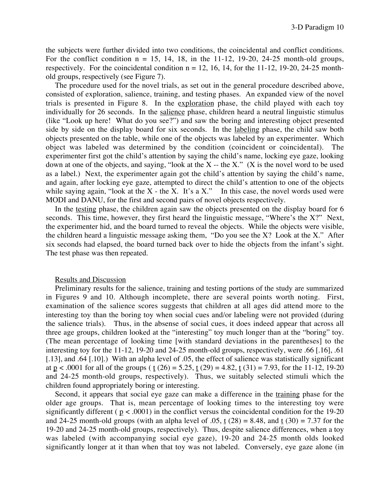the subjects were further divided into two conditions, the coincidental and conflict conditions. For the conflict condition  $n = 15$ , 14, 18, in the 11-12, 19-20, 24-25 month-old groups, respectively. For the coincidental condition  $n = 12, 16, 14$ , for the 11-12, 19-20, 24-25 monthold groups, respectively (see Figure 7).

The procedure used for the novel trials, as set out in the general procedure described above, consisted of exploration, salience, training, and testing phases. An expanded view of the novel trials is presented in Figure 8. In the exploration phase, the child played with each toy individually for 26 seconds. In the salience phase, children heard a neutral linguistic stimulus (like "Look up here! What do you see?") and saw the boring and interesting object presented side by side on the display board for six seconds. In the labeling phase, the child saw both objects presented on the table, while one of the objects was labeled by an experimenter. Which object was labeled was determined by the condition (coincident or coincidental). The experimenter first got the child's attention by saying the child's name, locking eye gaze, looking down at one of the objects, and saying, "look at the X -- the X." (X is the novel word to be used as a label.) Next, the experimenter again got the child's attention by saying the child's name, and again, after locking eye gaze, attempted to direct the child's attention to one of the objects while saying again, "look at the  $X$  - the  $X$ . It's a  $X$ ." In this case, the novel words used were MODI and DANU, for the first and second pairs of novel objects respectively.

In the testing phase, the children again saw the objects presented on the display board for 6 seconds. This time, however, they first heard the linguistic message, "Where's the X?" Next, the experimenter hid, and the board turned to reveal the objects. While the objects were visible, the children heard a linguistic message asking them, "Do you see the X? Look at the X." After six seconds had elapsed, the board turned back over to hide the objects from the infant's sight. The test phase was then repeated.

#### Results and Discussion

Preliminary results for the salience, training and testing portions of the study are summarized in Figures 9 and 10. Although incomplete, there are several points worth noting. First, examination of the salience scores suggests that children at all ages did attend more to the interesting toy than the boring toy when social cues and/or labeling were not provided (during the salience trials). Thus, in the absense of social cues, it does indeed appear that across all three age groups, children looked at the "interesting" toy much longer than at the "boring" toy. (The mean percentage of looking time [with standard deviations in the parentheses] to the interesting toy for the 11-12, 19-20 and 24-25 month-old groups, respectively, were .66 [.16], .61 [.13], and .64 [.10].) With an alpha level of .05, the effect of salience was statistically significant at  $p < .0001$  for all of the groups ( $\frac{1}{26}$  (26) = 5.25,  $\frac{1}{2}$  (29) = 4.82,  $\frac{1}{2}$  (31) = 7.93, for the 11-12, 19-20 and 24-25 month-old groups, respectively). Thus, we suitably selected stimuli which the children found appropriately boring or interesting.

Second, it appears that social eye gaze can make a difference in the training phase for the older age groups. That is, mean percentage of looking times to the interesting toy were significantly different ( $p < .0001$ ) in the conflict versus the coincidental condition for the 19-20 and 24-25 month-old groups (with an alpha level of .05, t  $(28) = 8.48$ , and t  $(30) = 7.37$  for the 19-20 and 24-25 month-old groups, respectively). Thus, despite salience differences, when a toy was labeled (with accompanying social eye gaze), 19-20 and 24-25 month olds looked significantly longer at it than when that toy was not labeled. Conversely, eye gaze alone (in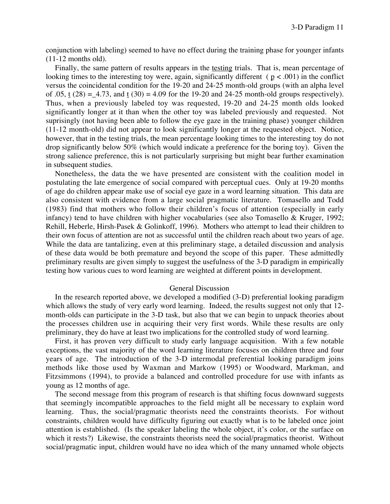conjunction with labeling) seemed to have no effect during the training phase for younger infants (11-12 months old).

Finally, the same pattern of results appears in the testing trials. That is, mean percentage of looking times to the interesting toy were, again, significantly different ( $p < .001$ ) in the conflict versus the coincidental condition for the 19-20 and 24-25 month-old groups (with an alpha level of .05,  $t(28) = 4.73$ , and  $t(30) = 4.09$  for the 19-20 and 24-25 month-old groups respectively). Thus, when a previously labeled toy was requested, 19-20 and 24-25 month olds looked significantly longer at it than when the other toy was labeled previously and requested. Not suprisingly (not having been able to follow the eye gaze in the training phase) younger children (11-12 month-old) did not appear to look significantly longer at the requested object. Notice, however, that in the testing trials, the mean percentage looking times to the interesting toy do not drop significantly below 50% (which would indicate a preference for the boring toy). Given the strong salience preference, this is not particularly surprising but might bear further examination in subsequent studies.

Nonetheless, the data the we have presented are consistent with the coalition model in postulating the late emergence of social compared with perceptual cues. Only at 19-20 months of age do children appear make use of social eye gaze in a word learning situation. This data are also consistent with evidence from a large social pragmatic literature. Tomasello and Todd (1983) find that mothers who follow their children's focus of attention (especially in early infancy) tend to have children with higher vocabularies (see also Tomasello & Kruger, 1992; Rehill, Heberle, Hirsh-Pasek & Golinkoff, 1996). Mothers who attempt to lead their children to their own focus of attention are not as successful until the children reach about two years of age. While the data are tantalizing, even at this preliminary stage, a detailed discussion and analysis of these data would be both premature and beyond the scope of this paper. These admittedly preliminary results are given simply to suggest the usefulness of the 3-D paradigm in empirically testing how various cues to word learning are weighted at different points in development.

#### General Discussion

In the research reported above, we developed a modified (3-D) preferential looking paradigm which allows the study of very early word learning. Indeed, the results suggest not only that 12 month-olds can participate in the 3-D task, but also that we can begin to unpack theories about the processes children use in acquiring their very first words. While these results are only preliminary, they do have at least two implications for the controlled study of word learning.

First, it has proven very difficult to study early language acquisition. With a few notable exceptions, the vast majority of the word learning literature focuses on children three and four years of age. The introduction of the 3-D intermodal preferential looking paradigm joins methods like those used by Waxman and Markow (1995) or Woodward, Markman, and Fitzsimmons (1994), to provide a balanced and controlled procedure for use with infants as young as 12 months of age.

The second message from this program of research is that shifting focus downward suggests that seemingly incompatible approaches to the field might all be necessary to explain word learning. Thus, the social/pragmatic theorists need the constraints theorists. For without constraints, children would have difficulty figuring out exactly what is to be labeled once joint attention is established. (Is the speaker labeling the whole object, it's color, or the surface on which it rests?) Likewise, the constraints theorists need the social/pragmatics theorist. Without social/pragmatic input, children would have no idea which of the many unnamed whole objects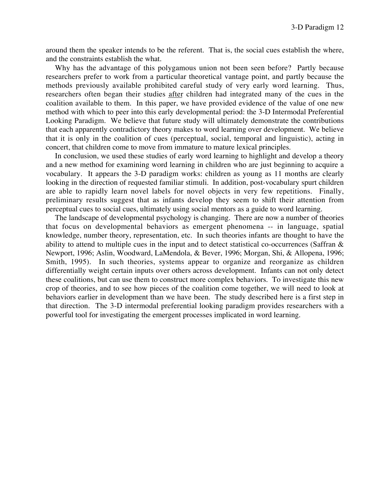around them the speaker intends to be the referent. That is, the social cues establish the where, and the constraints establish the what.

Why has the advantage of this polygamous union not been seen before? Partly because researchers prefer to work from a particular theoretical vantage point, and partly because the methods previously available prohibited careful study of very early word learning. Thus, researchers often began their studies after children had integrated many of the cues in the coalition available to them. In this paper, we have provided evidence of the value of one new method with which to peer into this early developmental period: the 3-D Intermodal Preferential Looking Paradigm. We believe that future study will ultimately demonstrate the contributions that each apparently contradictory theory makes to word learning over development. We believe that it is only in the coalition of cues (perceptual, social, temporal and linguistic), acting in concert, that children come to move from immature to mature lexical principles.

In conclusion, we used these studies of early word learning to highlight and develop a theory and a new method for examining word learning in children who are just beginning to acquire a vocabulary. It appears the 3-D paradigm works: children as young as 11 months are clearly looking in the direction of requested familiar stimuli. In addition, post-vocabulary spurt children are able to rapidly learn novel labels for novel objects in very few repetitions. Finally, preliminary results suggest that as infants develop they seem to shift their attention from perceptual cues to social cues, ultimately using social mentors as a guide to word learning.

The landscape of developmental psychology is changing. There are now a number of theories that focus on developmental behaviors as emergent phenomena -- in language, spatial knowledge, number theory, representation, etc. In such theories infants are thought to have the ability to attend to multiple cues in the input and to detect statistical co-occurrences (Saffran & Newport, 1996; Aslin, Woodward, LaMendola, & Bever, 1996; Morgan, Shi, & Allopena, 1996; Smith, 1995). In such theories, systems appear to organize and reorganize as children differentially weight certain inputs over others across development. Infants can not only detect these coalitions, but can use them to construct more complex behaviors. To investigate this new crop of theories, and to see how pieces of the coalition come together, we will need to look at behaviors earlier in development than we have been. The study described here is a first step in that direction. The 3-D intermodal preferential looking paradigm provides researchers with a powerful tool for investigating the emergent processes implicated in word learning.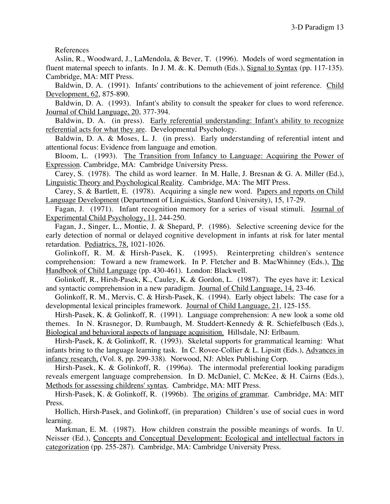References

Aslin, R., Woodward, J., LaMendola, & Bever, T. (1996). Models of word segmentation in fluent maternal speech to infants. In J. M. &. K. Demuth (Eds.), Signal to Syntax (pp. 117-135). Cambridge, MA: MIT Press.

Baldwin, D. A. (1991). Infants' contributions to the achievement of joint reference. Child Development, 62, 875-890.

Baldwin, D. A. (1993). Infant's ability to consult the speaker for clues to word reference. Journal of Child Language, 20, 377-394.

Baldwin, D. A. (in press). Early referential understanding: Infant's ability to recognize referential acts for what they are. Developmental Psychology.

Baldwin, D. A. & Moses, L. J. (in press). Early understanding of referential intent and attentional focus: Evidence from language and emotion.

Bloom, L. (1993). The Transition from Infancy to Language: Acquiring the Power of Expression. Cambridge, MA: Cambridge University Press.

Carey, S. (1978). The child as word learner. In M. Halle, J. Bresnan & G. A. Miller (Ed.), Linguistic Theory and Psychological Reality. Cambridge, MA: The MIT Press.

Carey, S. & Bartlett, E. (1978). Acquiring a single new word. Papers and reports on Child Language Development (Department of Linguistics, Stanford University), 15, 17-29.

Fagan, J. (1971). Infant recognition memory for a series of visual stimuli. Journal of Experimental Child Psychology, 11, 244-250.

Fagan, J., Singer, L., Montie, J. & Shepard, P. (1986). Selective screening device for the early detection of normal or delayed cognitive development in infants at risk for later mental retardation. Pediatrics, 78, 1021-1026.

Golinkoff, R. M. & Hirsh-Pasek, K. (1995). Reinterpreting children's sentence comprehension: Toward a new framework. In P. Fletcher and B. MacWhinney (Eds.), The Handbook of Child Language (pp. 430-461). London: Blackwell.

Golinkoff, R., Hirsh-Pasek, K., Cauley, K. & Gordon, L. (1987). The eyes have it: Lexical and syntactic comprehension in a new paradigm. Journal of Child Language, 14, 23-46.

Golinkoff, R. M., Mervis, C. & Hirsh-Pasek, K. (1994). Early object labels: The case for a developmental lexical principles framework. Journal of Child Language, 21, 125-155.

Hirsh-Pasek, K. & Golinkoff, R. (1991). Language comprehension: A new look a some old themes. In N. Krasnegor, D. Rumbaugh, M. Studdert-Kennedy & R. Schiefelbusch (Eds.), Biological and behavioral aspects of language acquisition. Hillsdale, NJ: Erlbaum.

Hirsh-Pasek, K. & Golinkoff, R. (1993). Skeletal supports for grammatical learning: What infants bring to the language learning task. In C. Rovee-Collier & L. Lipsitt (Eds.), Advances in infancy research, (Vol. 8, pp. 299-338). Norwood, NJ: Ablex Publishing Corp.

Hirsh-Pasek, K. & Golinkoff, R. (1996a). The intermodal preferential looking paradigm reveals emergent language comprehension. In D. McDaniel, C. McKee, & H. Cairns (Eds.), Methods for assessing childrens' syntax. Cambridge, MA: MIT Press.

Hirsh-Pasek, K. & Golinkoff, R. (1996b). The origins of grammar. Cambridge, MA: MIT Press.

Hollich, Hirsh-Pasek, and Golinkoff, (in preparation) Children's use of social cues in word learning.

Markman, E. M. (1987). How children constrain the possible meanings of words. In U. Neisser (Ed.), Concepts and Conceptual Development: Ecological and intellectual factors in categorization (pp. 255-287). Cambridge, MA: Cambridge University Press.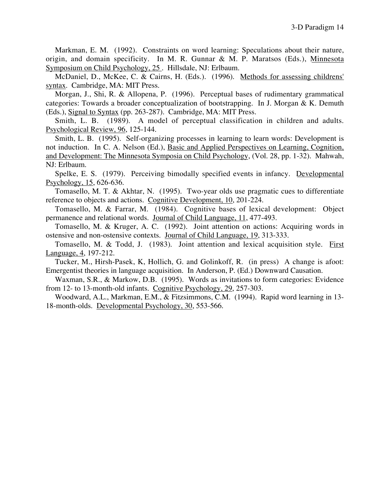Markman, E. M. (1992). Constraints on word learning: Speculations about their nature, origin, and domain specificity. In M. R. Gunnar & M. P. Maratsos (Eds.), Minnesota Symposium on Child Psychology, 25 . Hillsdale, NJ: Erlbaum.

McDaniel, D., McKee, C. & Cairns, H. (Eds.). (1996). Methods for assessing childrens' syntax. Cambridge, MA: MIT Press.

Morgan, J., Shi, R. & Allopena, P. (1996). Perceptual bases of rudimentary grammatical categories: Towards a broader conceptualization of bootstrapping. In J. Morgan & K. Demuth (Eds.), Signal to Syntax (pp. 263-287). Cambridge, MA: MIT Press.

Smith, L. B. (1989). A model of perceptual classification in children and adults. Psychological Review, 96, 125-144.

Smith, L. B. (1995). Self-organizing processes in learning to learn words: Development is not induction. In C. A. Nelson (Ed.), Basic and Applied Perspectives on Learning, Cognition, and Development: The Minnesota Symposia on Child Psychology, (Vol. 28, pp. 1-32). Mahwah, NJ: Erlbaum.

Spelke, E. S. (1979). Perceiving bimodally specified events in infancy. Developmental Psychology, 15, 626-636.

Tomasello, M. T. & Akhtar, N. (1995). Two-year olds use pragmatic cues to differentiate reference to objects and actions. Cognitive Development, 10, 201-224.

Tomasello, M. & Farrar, M. (1984). Cognitive bases of lexical development: Object permanence and relational words. Journal of Child Language, 11, 477-493.

Tomasello, M. & Kruger, A. C. (1992). Joint attention on actions: Acquiring words in ostensive and non-ostensive contexts. Journal of Child Language, 19, 313-333.

Tomasello, M. & Todd, J. (1983). Joint attention and lexical acquisition style. First Language, 4, 197-212.

Tucker, M., Hirsh-Pasek, K, Hollich, G. and Golinkoff, R. (in press) A change is afoot: Emergentist theories in language acquisition. In Anderson, P. (Ed.) Downward Causation.

Waxman, S.R., & Markow, D.B. (1995). Words as invitations to form categories: Evidence from 12- to 13-month-old infants. Cognitive Psychology, 29, 257-303.

Woodward, A.L., Markman, E.M., & Fitzsimmons, C.M. (1994). Rapid word learning in 13- 18-month-olds. Developmental Psychology, 30, 553-566.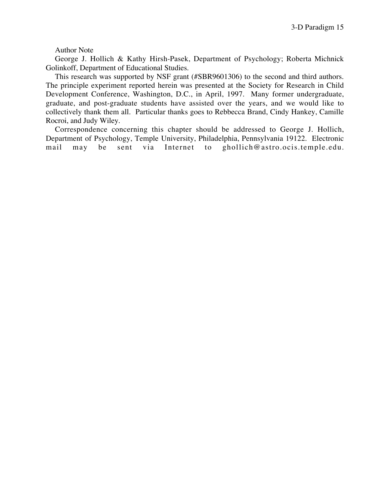Author Note

George J. Hollich & Kathy Hirsh-Pasek, Department of Psychology; Roberta Michnick Golinkoff, Department of Educational Studies.

This research was supported by NSF grant (#SBR9601306) to the second and third authors. The principle experiment reported herein was presented at the Society for Research in Child Development Conference, Washington, D.C., in April, 1997. Many former undergraduate, graduate, and post-graduate students have assisted over the years, and we would like to collectively thank them all. Particular thanks goes to Rebbecca Brand, Cindy Hankey, Camille Rocroi, and Judy Wiley.

Correspondence concerning this chapter should be addressed to George J. Hollich, Department of Psychology, Temple University, Philadelphia, Pennsylvania 19122. Electronic mail may be sent via Internet to ghollich@astro.ocis.temple.edu.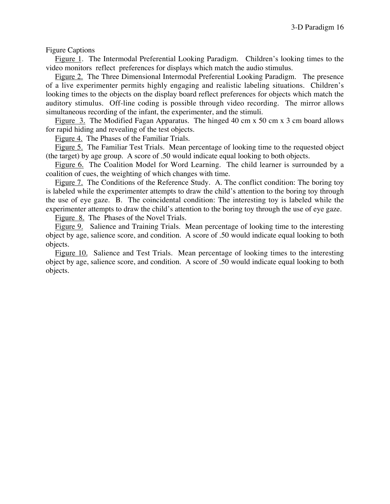Figure Captions

Figure 1. The Intermodal Preferential Looking Paradigm. Children's looking times to the video monitors reflect preferences for displays which match the audio stimulus.

Figure 2. The Three Dimensional Intermodal Preferential Looking Paradigm. The presence of a live experimenter permits highly engaging and realistic labeling situations. Children's looking times to the objects on the display board reflect preferences for objects which match the auditory stimulus. Off-line coding is possible through video recording. The mirror allows simultaneous recording of the infant, the experimenter, and the stimuli.

Figure 3. The Modified Fagan Apparatus. The hinged 40 cm x 50 cm x 3 cm board allows for rapid hiding and revealing of the test objects.

Figure 4. The Phases of the Familiar Trials.

Figure 5. The Familiar Test Trials. Mean percentage of looking time to the requested object (the target) by age group. A score of .50 would indicate equal looking to both objects.

Figure 6. The Coalition Model for Word Learning. The child learner is surrounded by a coalition of cues, the weighting of which changes with time.

Figure 7. The Conditions of the Reference Study. A. The conflict condition: The boring toy is labeled while the experimenter attempts to draw the child's attention to the boring toy through the use of eye gaze. B. The coincidental condition: The interesting toy is labeled while the experimenter attempts to draw the child's attention to the boring toy through the use of eye gaze.

Figure 8. The Phases of the Novel Trials.

Figure 9. Salience and Training Trials. Mean percentage of looking time to the interesting object by age, salience score, and condition. A score of .50 would indicate equal looking to both objects.

Figure 10. Salience and Test Trials. Mean percentage of looking times to the interesting object by age, salience score, and condition. A score of .50 would indicate equal looking to both objects.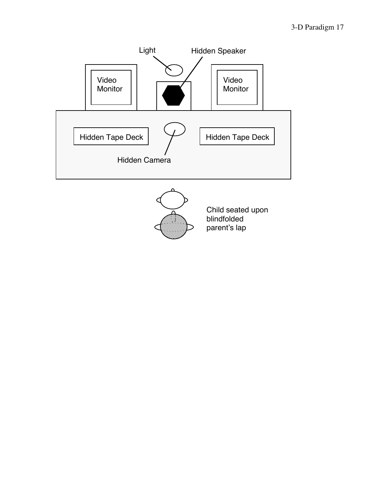



Child seated upon blindfolded parent's lap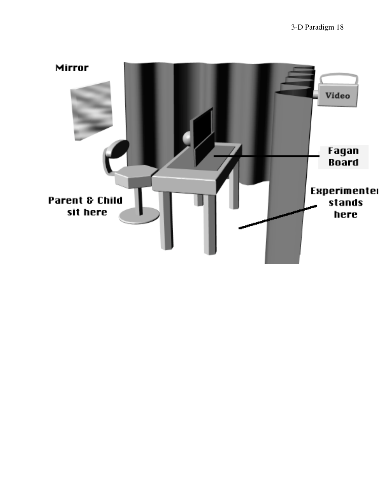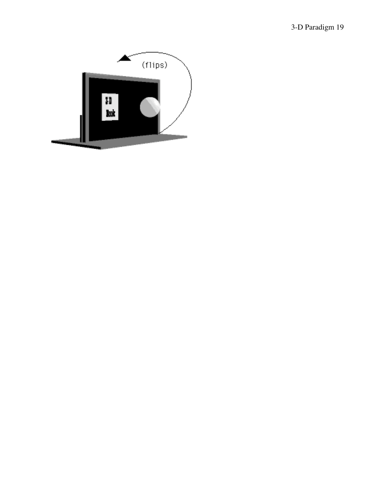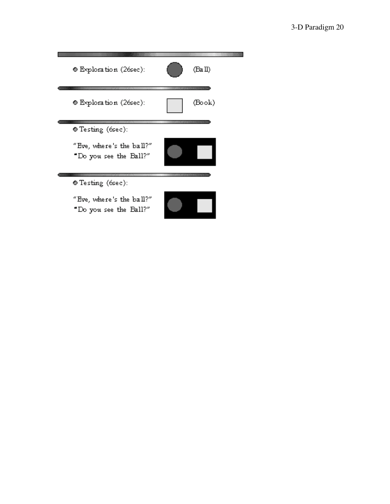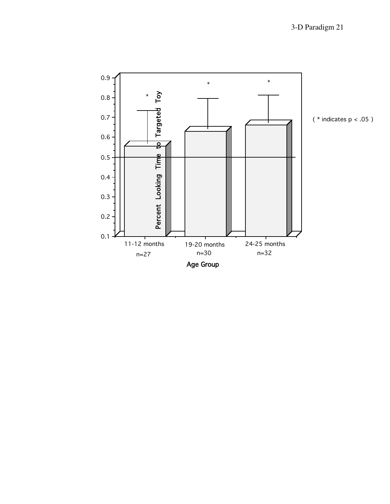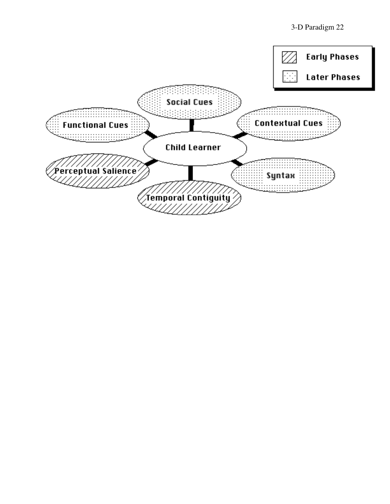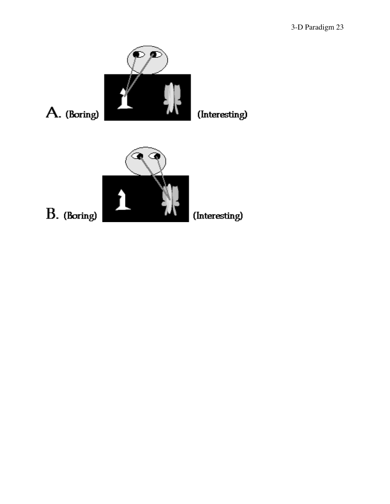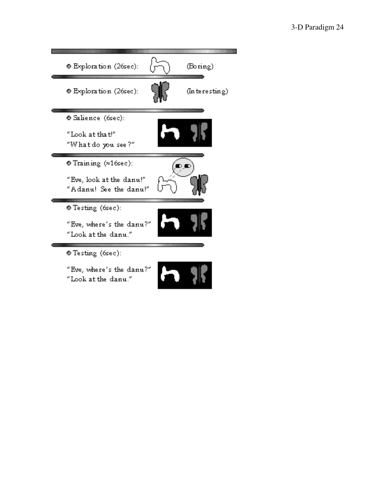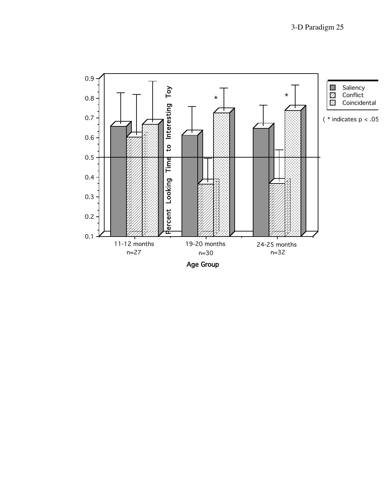